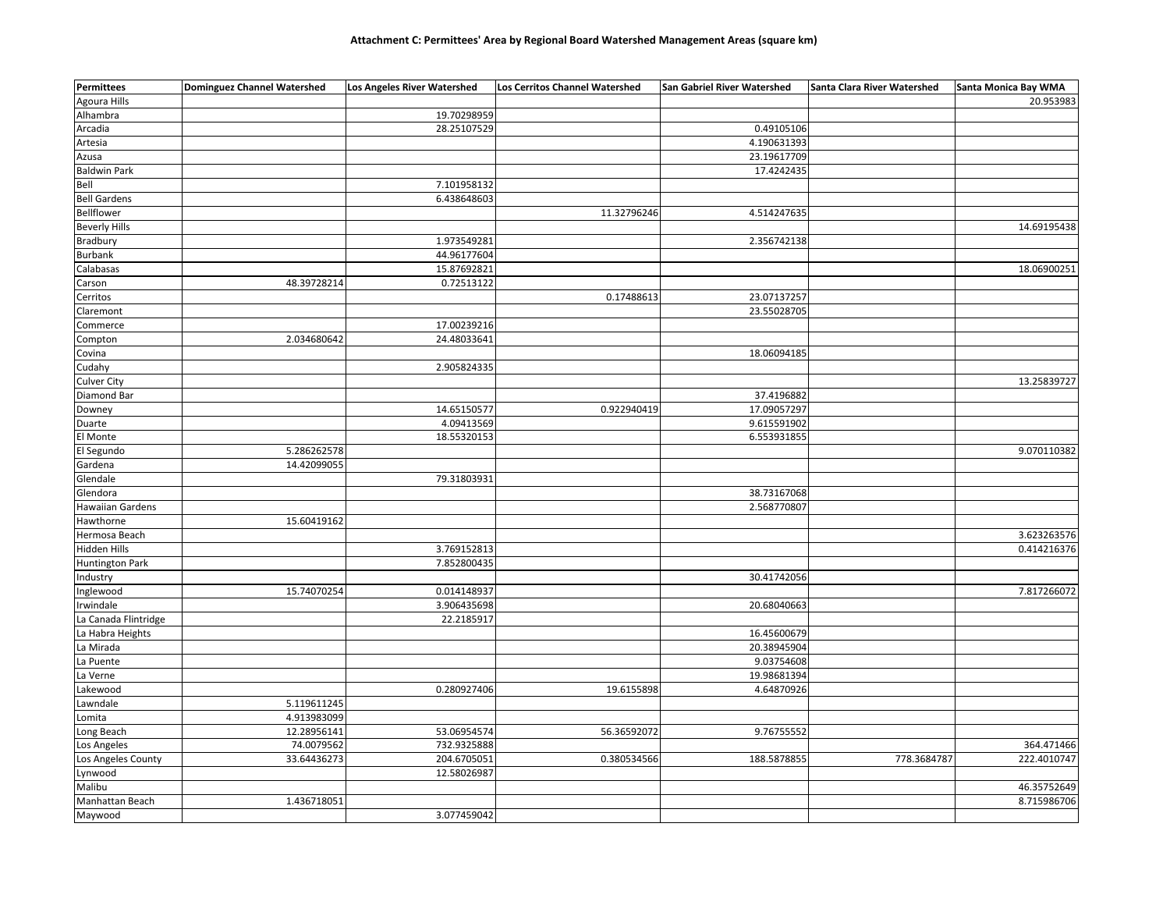| Agoura Hills<br>Alhambra<br>19.70298959<br>28.25107529<br>0.49105106<br>Arcadia<br>4.190631393<br>Artesia<br>23.19617709<br>Azusa<br><b>Baldwin Park</b><br>17.4242435<br>Bell<br>7.101958132<br><b>Bell Gardens</b><br>6.438648603<br>11.32796246<br>4.514247635<br>Bellflower<br><b>Beverly Hills</b><br><b>Bradbury</b><br>1.973549281<br>2.356742138<br>44.96177604<br>Burbank<br>15.87692821<br>Calabasas<br>48.39728214<br>0.72513122<br>Carson<br>0.17488613<br>23.07137257<br>Cerritos<br>23.55028705<br>Claremont<br>17.00239216<br>Commerce<br>2.034680642<br>24.48033641<br>Compton<br>Covina<br>18.06094185<br>Cudahy<br>2.905824335<br><b>Culver City</b><br>13.25839727<br>Diamond Bar<br>37.4196882<br>0.922940419<br>17.09057297<br>14.65150577<br>Downey<br>9.615591902<br>Duarte<br>4.09413569<br>El Monte<br>18.55320153<br>6.553931855<br>El Segundo<br>5.286262578<br>9.070110382<br>14.42099055<br>Gardena<br>Glendale<br>79.31803931<br>Glendora<br>38.73167068<br>2.568770807<br><b>Hawaiian Gardens</b><br>Hawthorne<br>15.60419162<br>3.623263576<br>Hermosa Beach<br>Hidden Hills<br>3.769152813<br><b>Huntington Park</b><br>7.852800435<br>30.41742056<br>Industry<br>Inglewood<br>15.74070254<br>0.014148937<br>Irwindale<br>3.906435698<br>20.68040663<br>La Canada Flintridge<br>22.2185917<br>La Habra Heights<br>16.45600679<br>20.38945904<br>La Mirada<br>La Puente<br>9.03754608<br>19.98681394<br>La Verne<br>Lakewood<br>0.280927406<br>19.6155898<br>4.64870926<br>Lawndale<br>5.119611245 | <b>Permittees</b> | <b>Dominguez Channel Watershed</b> | Los Angeles River Watershed | Los Cerritos Channel Watershed | San Gabriel River Watershed | Santa Clara River Watershed | Santa Monica Bay WMA |
|------------------------------------------------------------------------------------------------------------------------------------------------------------------------------------------------------------------------------------------------------------------------------------------------------------------------------------------------------------------------------------------------------------------------------------------------------------------------------------------------------------------------------------------------------------------------------------------------------------------------------------------------------------------------------------------------------------------------------------------------------------------------------------------------------------------------------------------------------------------------------------------------------------------------------------------------------------------------------------------------------------------------------------------------------------------------------------------------------------------------------------------------------------------------------------------------------------------------------------------------------------------------------------------------------------------------------------------------------------------------------------------------------------------------------------------------------------------------------------------------------------------------------------|-------------------|------------------------------------|-----------------------------|--------------------------------|-----------------------------|-----------------------------|----------------------|
|                                                                                                                                                                                                                                                                                                                                                                                                                                                                                                                                                                                                                                                                                                                                                                                                                                                                                                                                                                                                                                                                                                                                                                                                                                                                                                                                                                                                                                                                                                                                    |                   |                                    |                             |                                |                             |                             | 20.953983            |
|                                                                                                                                                                                                                                                                                                                                                                                                                                                                                                                                                                                                                                                                                                                                                                                                                                                                                                                                                                                                                                                                                                                                                                                                                                                                                                                                                                                                                                                                                                                                    |                   |                                    |                             |                                |                             |                             |                      |
|                                                                                                                                                                                                                                                                                                                                                                                                                                                                                                                                                                                                                                                                                                                                                                                                                                                                                                                                                                                                                                                                                                                                                                                                                                                                                                                                                                                                                                                                                                                                    |                   |                                    |                             |                                |                             |                             |                      |
|                                                                                                                                                                                                                                                                                                                                                                                                                                                                                                                                                                                                                                                                                                                                                                                                                                                                                                                                                                                                                                                                                                                                                                                                                                                                                                                                                                                                                                                                                                                                    |                   |                                    |                             |                                |                             |                             |                      |
|                                                                                                                                                                                                                                                                                                                                                                                                                                                                                                                                                                                                                                                                                                                                                                                                                                                                                                                                                                                                                                                                                                                                                                                                                                                                                                                                                                                                                                                                                                                                    |                   |                                    |                             |                                |                             |                             |                      |
|                                                                                                                                                                                                                                                                                                                                                                                                                                                                                                                                                                                                                                                                                                                                                                                                                                                                                                                                                                                                                                                                                                                                                                                                                                                                                                                                                                                                                                                                                                                                    |                   |                                    |                             |                                |                             |                             |                      |
|                                                                                                                                                                                                                                                                                                                                                                                                                                                                                                                                                                                                                                                                                                                                                                                                                                                                                                                                                                                                                                                                                                                                                                                                                                                                                                                                                                                                                                                                                                                                    |                   |                                    |                             |                                |                             |                             |                      |
|                                                                                                                                                                                                                                                                                                                                                                                                                                                                                                                                                                                                                                                                                                                                                                                                                                                                                                                                                                                                                                                                                                                                                                                                                                                                                                                                                                                                                                                                                                                                    |                   |                                    |                             |                                |                             |                             |                      |
|                                                                                                                                                                                                                                                                                                                                                                                                                                                                                                                                                                                                                                                                                                                                                                                                                                                                                                                                                                                                                                                                                                                                                                                                                                                                                                                                                                                                                                                                                                                                    |                   |                                    |                             |                                |                             |                             |                      |
|                                                                                                                                                                                                                                                                                                                                                                                                                                                                                                                                                                                                                                                                                                                                                                                                                                                                                                                                                                                                                                                                                                                                                                                                                                                                                                                                                                                                                                                                                                                                    |                   |                                    |                             |                                |                             |                             | 14.69195438          |
|                                                                                                                                                                                                                                                                                                                                                                                                                                                                                                                                                                                                                                                                                                                                                                                                                                                                                                                                                                                                                                                                                                                                                                                                                                                                                                                                                                                                                                                                                                                                    |                   |                                    |                             |                                |                             |                             |                      |
|                                                                                                                                                                                                                                                                                                                                                                                                                                                                                                                                                                                                                                                                                                                                                                                                                                                                                                                                                                                                                                                                                                                                                                                                                                                                                                                                                                                                                                                                                                                                    |                   |                                    |                             |                                |                             |                             |                      |
|                                                                                                                                                                                                                                                                                                                                                                                                                                                                                                                                                                                                                                                                                                                                                                                                                                                                                                                                                                                                                                                                                                                                                                                                                                                                                                                                                                                                                                                                                                                                    |                   |                                    |                             |                                |                             |                             | 18.06900251          |
|                                                                                                                                                                                                                                                                                                                                                                                                                                                                                                                                                                                                                                                                                                                                                                                                                                                                                                                                                                                                                                                                                                                                                                                                                                                                                                                                                                                                                                                                                                                                    |                   |                                    |                             |                                |                             |                             |                      |
|                                                                                                                                                                                                                                                                                                                                                                                                                                                                                                                                                                                                                                                                                                                                                                                                                                                                                                                                                                                                                                                                                                                                                                                                                                                                                                                                                                                                                                                                                                                                    |                   |                                    |                             |                                |                             |                             |                      |
|                                                                                                                                                                                                                                                                                                                                                                                                                                                                                                                                                                                                                                                                                                                                                                                                                                                                                                                                                                                                                                                                                                                                                                                                                                                                                                                                                                                                                                                                                                                                    |                   |                                    |                             |                                |                             |                             |                      |
|                                                                                                                                                                                                                                                                                                                                                                                                                                                                                                                                                                                                                                                                                                                                                                                                                                                                                                                                                                                                                                                                                                                                                                                                                                                                                                                                                                                                                                                                                                                                    |                   |                                    |                             |                                |                             |                             |                      |
|                                                                                                                                                                                                                                                                                                                                                                                                                                                                                                                                                                                                                                                                                                                                                                                                                                                                                                                                                                                                                                                                                                                                                                                                                                                                                                                                                                                                                                                                                                                                    |                   |                                    |                             |                                |                             |                             |                      |
|                                                                                                                                                                                                                                                                                                                                                                                                                                                                                                                                                                                                                                                                                                                                                                                                                                                                                                                                                                                                                                                                                                                                                                                                                                                                                                                                                                                                                                                                                                                                    |                   |                                    |                             |                                |                             |                             |                      |
|                                                                                                                                                                                                                                                                                                                                                                                                                                                                                                                                                                                                                                                                                                                                                                                                                                                                                                                                                                                                                                                                                                                                                                                                                                                                                                                                                                                                                                                                                                                                    |                   |                                    |                             |                                |                             |                             |                      |
|                                                                                                                                                                                                                                                                                                                                                                                                                                                                                                                                                                                                                                                                                                                                                                                                                                                                                                                                                                                                                                                                                                                                                                                                                                                                                                                                                                                                                                                                                                                                    |                   |                                    |                             |                                |                             |                             |                      |
|                                                                                                                                                                                                                                                                                                                                                                                                                                                                                                                                                                                                                                                                                                                                                                                                                                                                                                                                                                                                                                                                                                                                                                                                                                                                                                                                                                                                                                                                                                                                    |                   |                                    |                             |                                |                             |                             |                      |
|                                                                                                                                                                                                                                                                                                                                                                                                                                                                                                                                                                                                                                                                                                                                                                                                                                                                                                                                                                                                                                                                                                                                                                                                                                                                                                                                                                                                                                                                                                                                    |                   |                                    |                             |                                |                             |                             |                      |
|                                                                                                                                                                                                                                                                                                                                                                                                                                                                                                                                                                                                                                                                                                                                                                                                                                                                                                                                                                                                                                                                                                                                                                                                                                                                                                                                                                                                                                                                                                                                    |                   |                                    |                             |                                |                             |                             |                      |
|                                                                                                                                                                                                                                                                                                                                                                                                                                                                                                                                                                                                                                                                                                                                                                                                                                                                                                                                                                                                                                                                                                                                                                                                                                                                                                                                                                                                                                                                                                                                    |                   |                                    |                             |                                |                             |                             |                      |
|                                                                                                                                                                                                                                                                                                                                                                                                                                                                                                                                                                                                                                                                                                                                                                                                                                                                                                                                                                                                                                                                                                                                                                                                                                                                                                                                                                                                                                                                                                                                    |                   |                                    |                             |                                |                             |                             |                      |
|                                                                                                                                                                                                                                                                                                                                                                                                                                                                                                                                                                                                                                                                                                                                                                                                                                                                                                                                                                                                                                                                                                                                                                                                                                                                                                                                                                                                                                                                                                                                    |                   |                                    |                             |                                |                             |                             |                      |
|                                                                                                                                                                                                                                                                                                                                                                                                                                                                                                                                                                                                                                                                                                                                                                                                                                                                                                                                                                                                                                                                                                                                                                                                                                                                                                                                                                                                                                                                                                                                    |                   |                                    |                             |                                |                             |                             |                      |
|                                                                                                                                                                                                                                                                                                                                                                                                                                                                                                                                                                                                                                                                                                                                                                                                                                                                                                                                                                                                                                                                                                                                                                                                                                                                                                                                                                                                                                                                                                                                    |                   |                                    |                             |                                |                             |                             |                      |
|                                                                                                                                                                                                                                                                                                                                                                                                                                                                                                                                                                                                                                                                                                                                                                                                                                                                                                                                                                                                                                                                                                                                                                                                                                                                                                                                                                                                                                                                                                                                    |                   |                                    |                             |                                |                             |                             |                      |
|                                                                                                                                                                                                                                                                                                                                                                                                                                                                                                                                                                                                                                                                                                                                                                                                                                                                                                                                                                                                                                                                                                                                                                                                                                                                                                                                                                                                                                                                                                                                    |                   |                                    |                             |                                |                             |                             |                      |
|                                                                                                                                                                                                                                                                                                                                                                                                                                                                                                                                                                                                                                                                                                                                                                                                                                                                                                                                                                                                                                                                                                                                                                                                                                                                                                                                                                                                                                                                                                                                    |                   |                                    |                             |                                |                             |                             |                      |
|                                                                                                                                                                                                                                                                                                                                                                                                                                                                                                                                                                                                                                                                                                                                                                                                                                                                                                                                                                                                                                                                                                                                                                                                                                                                                                                                                                                                                                                                                                                                    |                   |                                    |                             |                                |                             |                             |                      |
|                                                                                                                                                                                                                                                                                                                                                                                                                                                                                                                                                                                                                                                                                                                                                                                                                                                                                                                                                                                                                                                                                                                                                                                                                                                                                                                                                                                                                                                                                                                                    |                   |                                    |                             |                                |                             |                             | 0.414216376          |
|                                                                                                                                                                                                                                                                                                                                                                                                                                                                                                                                                                                                                                                                                                                                                                                                                                                                                                                                                                                                                                                                                                                                                                                                                                                                                                                                                                                                                                                                                                                                    |                   |                                    |                             |                                |                             |                             |                      |
|                                                                                                                                                                                                                                                                                                                                                                                                                                                                                                                                                                                                                                                                                                                                                                                                                                                                                                                                                                                                                                                                                                                                                                                                                                                                                                                                                                                                                                                                                                                                    |                   |                                    |                             |                                |                             |                             |                      |
|                                                                                                                                                                                                                                                                                                                                                                                                                                                                                                                                                                                                                                                                                                                                                                                                                                                                                                                                                                                                                                                                                                                                                                                                                                                                                                                                                                                                                                                                                                                                    |                   |                                    |                             |                                |                             |                             | 7.817266072          |
|                                                                                                                                                                                                                                                                                                                                                                                                                                                                                                                                                                                                                                                                                                                                                                                                                                                                                                                                                                                                                                                                                                                                                                                                                                                                                                                                                                                                                                                                                                                                    |                   |                                    |                             |                                |                             |                             |                      |
|                                                                                                                                                                                                                                                                                                                                                                                                                                                                                                                                                                                                                                                                                                                                                                                                                                                                                                                                                                                                                                                                                                                                                                                                                                                                                                                                                                                                                                                                                                                                    |                   |                                    |                             |                                |                             |                             |                      |
|                                                                                                                                                                                                                                                                                                                                                                                                                                                                                                                                                                                                                                                                                                                                                                                                                                                                                                                                                                                                                                                                                                                                                                                                                                                                                                                                                                                                                                                                                                                                    |                   |                                    |                             |                                |                             |                             |                      |
|                                                                                                                                                                                                                                                                                                                                                                                                                                                                                                                                                                                                                                                                                                                                                                                                                                                                                                                                                                                                                                                                                                                                                                                                                                                                                                                                                                                                                                                                                                                                    |                   |                                    |                             |                                |                             |                             |                      |
|                                                                                                                                                                                                                                                                                                                                                                                                                                                                                                                                                                                                                                                                                                                                                                                                                                                                                                                                                                                                                                                                                                                                                                                                                                                                                                                                                                                                                                                                                                                                    |                   |                                    |                             |                                |                             |                             |                      |
|                                                                                                                                                                                                                                                                                                                                                                                                                                                                                                                                                                                                                                                                                                                                                                                                                                                                                                                                                                                                                                                                                                                                                                                                                                                                                                                                                                                                                                                                                                                                    |                   |                                    |                             |                                |                             |                             |                      |
|                                                                                                                                                                                                                                                                                                                                                                                                                                                                                                                                                                                                                                                                                                                                                                                                                                                                                                                                                                                                                                                                                                                                                                                                                                                                                                                                                                                                                                                                                                                                    |                   |                                    |                             |                                |                             |                             |                      |
|                                                                                                                                                                                                                                                                                                                                                                                                                                                                                                                                                                                                                                                                                                                                                                                                                                                                                                                                                                                                                                                                                                                                                                                                                                                                                                                                                                                                                                                                                                                                    |                   |                                    |                             |                                |                             |                             |                      |
|                                                                                                                                                                                                                                                                                                                                                                                                                                                                                                                                                                                                                                                                                                                                                                                                                                                                                                                                                                                                                                                                                                                                                                                                                                                                                                                                                                                                                                                                                                                                    | Lomita            | 4.913983099                        |                             |                                |                             |                             |                      |
| Long Beach<br>12.28956141<br>53.06954574<br>56.36592072<br>9.76755552                                                                                                                                                                                                                                                                                                                                                                                                                                                                                                                                                                                                                                                                                                                                                                                                                                                                                                                                                                                                                                                                                                                                                                                                                                                                                                                                                                                                                                                              |                   |                                    |                             |                                |                             |                             |                      |
| 74.0079562<br>732.9325888<br>Los Angeles                                                                                                                                                                                                                                                                                                                                                                                                                                                                                                                                                                                                                                                                                                                                                                                                                                                                                                                                                                                                                                                                                                                                                                                                                                                                                                                                                                                                                                                                                           |                   |                                    |                             |                                |                             |                             | 364.471466           |
| 33.64436273<br>204.6705051<br>0.380534566<br>188.5878855<br>778.3684787<br>Los Angeles County                                                                                                                                                                                                                                                                                                                                                                                                                                                                                                                                                                                                                                                                                                                                                                                                                                                                                                                                                                                                                                                                                                                                                                                                                                                                                                                                                                                                                                      |                   |                                    |                             |                                |                             |                             | 222.4010747          |
| 12.58026987<br>Lynwood                                                                                                                                                                                                                                                                                                                                                                                                                                                                                                                                                                                                                                                                                                                                                                                                                                                                                                                                                                                                                                                                                                                                                                                                                                                                                                                                                                                                                                                                                                             |                   |                                    |                             |                                |                             |                             |                      |
| Malibu                                                                                                                                                                                                                                                                                                                                                                                                                                                                                                                                                                                                                                                                                                                                                                                                                                                                                                                                                                                                                                                                                                                                                                                                                                                                                                                                                                                                                                                                                                                             |                   |                                    |                             |                                |                             |                             | 46.35752649          |
| Manhattan Beach<br>1.436718051                                                                                                                                                                                                                                                                                                                                                                                                                                                                                                                                                                                                                                                                                                                                                                                                                                                                                                                                                                                                                                                                                                                                                                                                                                                                                                                                                                                                                                                                                                     |                   |                                    |                             |                                |                             |                             | 8.715986706          |
| Maywood<br>3.077459042                                                                                                                                                                                                                                                                                                                                                                                                                                                                                                                                                                                                                                                                                                                                                                                                                                                                                                                                                                                                                                                                                                                                                                                                                                                                                                                                                                                                                                                                                                             |                   |                                    |                             |                                |                             |                             |                      |